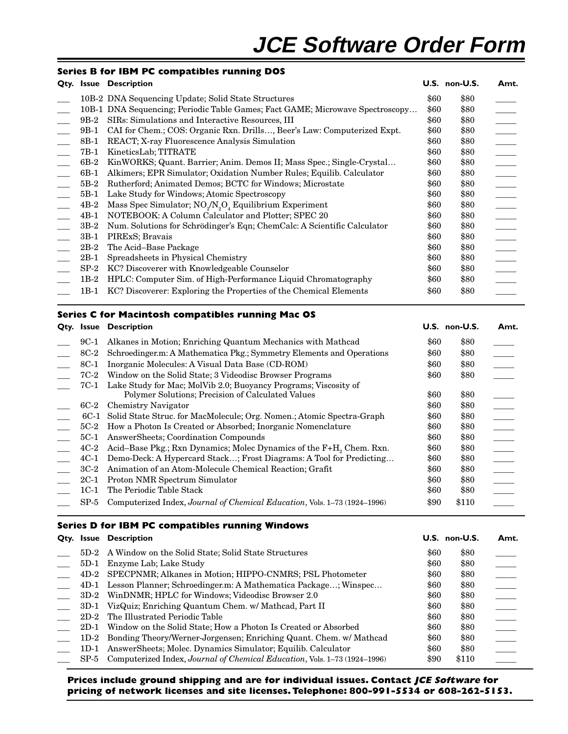### **Series B for IBM PC compatibles running DOS**

|        | Qty. Issue Description                                                                     |      | U.S. non-U.S. | Amt.                             |
|--------|--------------------------------------------------------------------------------------------|------|---------------|----------------------------------|
|        | 10B-2 DNA Sequencing Update; Solid State Structures                                        | \$60 | \$80          |                                  |
|        | 10B-1 DNA Sequencing; Periodic Table Games; Fact GAME; Microwave Spectroscopy              | \$60 | \$80          |                                  |
| 9B-2   | SIRs: Simulations and Interactive Resources, III                                           | \$60 | \$80          | $\frac{1}{\sqrt{1-\frac{1}{2}}}$ |
| 9B-1   | CAI for Chem.; COS: Organic Rxn. Drills, Beer's Law: Computerized Expt.                    | \$60 | \$80          | $\frac{1}{\sqrt{2\pi}}$          |
| 8B-1   | REACT; X-ray Fluorescence Analysis Simulation                                              | \$60 | \$80          | $\frac{1}{1}$                    |
| 7B-1   | KineticsLab; TITRATE                                                                       | \$60 | \$80          | $\frac{1}{\sqrt{2}}$             |
| 6B-2   | KinWORKS; Quant. Barrier; Anim. Demos II; Mass Spec.; Single-Crystal                       | \$60 | \$80          | $\frac{1}{\sqrt{1-\frac{1}{2}}}$ |
| 6B-1   | Alkimers; EPR Simulator; Oxidation Number Rules; Equilib. Calculator                       | \$60 | \$80          |                                  |
| $5B-2$ | Rutherford; Animated Demos; BCTC for Windows; Microstate                                   | \$60 | \$80          | $\frac{1}{1}$                    |
| $5B-1$ | Lake Study for Windows; Atomic Spectroscopy                                                | \$60 | \$80          |                                  |
| $4B-2$ | Mass Spec Simulator; NO <sub>2</sub> /N <sub>2</sub> O <sub>4</sub> Equilibrium Experiment | \$60 | \$80          |                                  |
| $4B-1$ | NOTEBOOK: A Column Calculator and Plotter; SPEC 20                                         | \$60 | \$80          |                                  |
| $3B-2$ | Num. Solutions for Schrödinger's Eqn; ChemCalc: A Scientific Calculator                    | \$60 | \$80          |                                  |
| $3B-1$ | PIRExS; Bravais                                                                            | \$60 | \$80          |                                  |
| $2B-2$ | The Acid-Base Package                                                                      | \$60 | \$80          | $\frac{1}{\sqrt{1-\frac{1}{2}}}$ |
| $2B-1$ | Spreadsheets in Physical Chemistry                                                         | \$60 | \$80          |                                  |
| $SP-2$ | KC? Discoverer with Knowledgeable Counselor                                                | \$60 | \$80          | $\overline{\phantom{a}}$         |
| $1B-2$ | HPLC: Computer Sim. of High-Performance Liquid Chromatography                              | \$60 | \$80          |                                  |
| 1B-1   | KC? Discoverer: Exploring the Properties of the Chemical Elements                          | \$60 | \$80          |                                  |
|        |                                                                                            |      |               |                                  |

# **Series C for Macintosh compatibles running Mac OS**

|        | Qty. Issue Description                                                                                               |      | <b>U.S. non-U.S.</b> | Amt.                                                                                                                       |
|--------|----------------------------------------------------------------------------------------------------------------------|------|----------------------|----------------------------------------------------------------------------------------------------------------------------|
| 9C-1   | Alkanes in Motion; Enriching Quantum Mechanics with Mathead                                                          | \$60 | \$80                 |                                                                                                                            |
| 8C-2   | Schroedinger.m: A Mathematica Pkg.; Symmetry Elements and Operations                                                 | \$60 | \$80                 |                                                                                                                            |
| 8C-1   | Inorganic Molecules: A Visual Data Base (CD-ROM)                                                                     | \$60 | \$80                 | $\begin{array}{c}\n\overline{\phantom{0}} \\ \overline{\phantom{0}} \\ \overline{\phantom{0}} \\ \phantom{0}\n\end{array}$ |
| 7C-2   | Window on the Solid State; 3 Videodisc Browser Programs                                                              | \$60 | \$80                 |                                                                                                                            |
| 7C-1   | Lake Study for Mac; MolVib 2.0; Buoyancy Programs; Viscosity of<br>Polymer Solutions; Precision of Calculated Values | \$60 | \$80                 |                                                                                                                            |
| $6C-2$ | Chemistry Navigator                                                                                                  | \$60 | \$80                 |                                                                                                                            |
| 6C-1   | Solid State Struc. for MacMolecule; Org. Nomen.; Atomic Spectra-Graph                                                | \$60 | \$80                 |                                                                                                                            |
|        | 5C-2 How a Photon Is Created or Absorbed; Inorganic Nomenclature                                                     | \$60 | \$80                 |                                                                                                                            |
| 5C-1   | AnswerSheets; Coordination Compounds                                                                                 | \$60 | \$80                 |                                                                                                                            |
| 4C-2   | Acid–Base Pkg.; Rxn Dynamics; Molec Dynamics of the F+H <sub>2</sub> Chem. Rxn.                                      | \$60 | \$80                 |                                                                                                                            |
| 4C-1   | Demo-Deck: A Hypercard Stack; Frost Diagrams: A Tool for Predicting                                                  | \$60 | \$80                 |                                                                                                                            |
| 3C-2   | Animation of an Atom-Molecule Chemical Reaction; Grafit                                                              | \$60 | \$80                 |                                                                                                                            |
| 2C-1   | Proton NMR Spectrum Simulator                                                                                        | \$60 | \$80                 |                                                                                                                            |
| 1C-1   | The Periodic Table Stack                                                                                             | \$60 | \$80                 |                                                                                                                            |
| $SP-5$ | Computerized Index, Journal of Chemical Education, Vols. 1-73 (1924-1996)                                            | \$90 | \$110                |                                                                                                                            |

#### **Series D for IBM PC compatibles running Windows**

|        | <b>Qty. Issue Description</b>                                             |      | U.S. non-U.S. | Amt. |
|--------|---------------------------------------------------------------------------|------|---------------|------|
|        | 5D-2 A Window on the Solid State; Solid State Structures                  | \$60 | \$80          |      |
| $5D-1$ | Enzyme Lab; Lake Study                                                    | \$60 | \$80          |      |
|        | 4D-2 SPECPNMR; Alkanes in Motion; HIPPO-CNMRS; PSL Photometer             | \$60 | \$80          |      |
|        | 4D-1 Lesson Planner; Schroedinger.m: A Mathematica Package; Winspec       | \$60 | \$80          |      |
| $3D-2$ | WinDNMR; HPLC for Windows; Videodisc Browser 2.0                          | \$60 | \$80          |      |
| $3D-1$ | VizQuiz; Enriching Quantum Chem. w/ Mathcad, Part II                      | \$60 | \$80          |      |
|        | 2D-2 The Illustrated Periodic Table                                       | \$60 | \$80          |      |
| 2D-1   | Window on the Solid State; How a Photon Is Created or Absorbed            | \$60 | \$80          |      |
|        | 1D-2 Bonding Theory/Werner-Jorgensen; Enriching Quant. Chem. w/ Mathcad   | \$60 | \$80          |      |
| $1D-1$ | AnswerSheets; Molec. Dynamics Simulator; Equilib. Calculator              | \$60 | \$80          |      |
| $SP-5$ | Computerized Index, Journal of Chemical Education, Vols. 1-73 (1924-1996) | \$90 | \$110         |      |

**Prices include ground shipping and are for individual issues. Contact JCE Software for pricing of network licenses and site licenses. Telephone: 800-991-5534 or 608-262-5153.**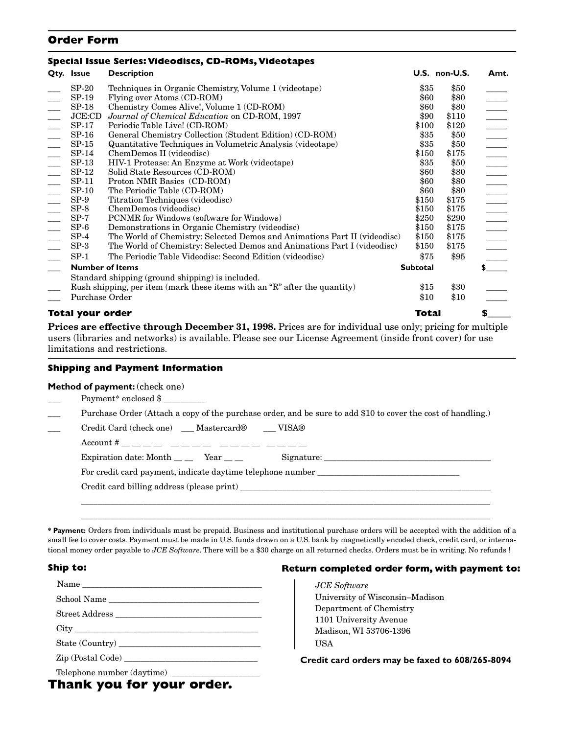### **Order Form**

#### **Special Issue Series: Videodiscs, CD-ROMs, Videotapes**

| Qty. Issue              | <b>Description</b>                                                        |                 | U.S. non-U.S. | Amt.                                |
|-------------------------|---------------------------------------------------------------------------|-----------------|---------------|-------------------------------------|
| $SP-20$                 | Techniques in Organic Chemistry, Volume 1 (videotape)                     | \$35            | \$50          |                                     |
| SP-19                   | Flying over Atoms (CD-ROM)                                                | \$60            | \$80          |                                     |
| SP-18                   | Chemistry Comes Alive!, Volume 1 (CD-ROM)                                 | \$60            | \$80          |                                     |
| JCE:CD                  | Journal of Chemical Education on CD-ROM, 1997                             | \$90            | \$110         |                                     |
| $SP-17$                 | Periodic Table Live! (CD-ROM)                                             | \$100           | \$120         |                                     |
| SP-16                   | General Chemistry Collection (Student Edition) (CD-ROM)                   | \$35            | \$50          |                                     |
| $SP-15$                 | Quantitative Techniques in Volumetric Analysis (videotape)                | \$35            | \$50          |                                     |
| $SP-14$                 | ChemDemos II (videodisc)                                                  | \$150           | \$175         |                                     |
| $SP-13$                 | HIV-1 Protease: An Enzyme at Work (videotape)                             | \$35            | \$50          |                                     |
| $SP-12$                 | Solid State Resources (CD-ROM)                                            | \$60            | \$80          |                                     |
| $SP-11$                 | Proton NMR Basics (CD-ROM)                                                | \$60            | \$80          |                                     |
| $SP-10$                 | The Periodic Table (CD-ROM)                                               | \$60            | \$80          |                                     |
| $SP-9$                  | Titration Techniques (videodisc)                                          | \$150           | \$175         |                                     |
| $SP-8$                  | ChemDemos (videodisc)                                                     | \$150           | \$175         |                                     |
| $SP-7$                  | PCNMR for Windows (software for Windows)                                  | \$250           | \$290         |                                     |
| $SP-6$                  | Demonstrations in Organic Chemistry (videodisc)                           | \$150           | \$175         |                                     |
| $SP-4$                  | The World of Chemistry: Selected Demos and Animations Part II (videodisc) | \$150           | \$175         |                                     |
| $SP-3$                  | The World of Chemistry: Selected Demos and Animations Part I (videodisc)  | \$150           | \$175         |                                     |
| $SP-1$                  | The Periodic Table Videodisc: Second Edition (videodisc)                  | \$75            | \$95          | <u>                            </u> |
| <b>Number of Items</b>  |                                                                           | <b>Subtotal</b> |               | $\sim$                              |
|                         | Standard shipping (ground shipping) is included.                          |                 |               |                                     |
|                         | Rush shipping, per item (mark these items with an "R" after the quantity) | \$15            | \$30          |                                     |
| Purchase Order          |                                                                           | \$10            | \$10          |                                     |
| <b>Total your order</b> |                                                                           | Total           |               | S                                   |

**Prices are effective through December 31, 1998.** Prices are for individual use only; pricing for multiple users (libraries and networks) is available. Please see our License Agreement (inside front cover) for use limitations and restrictions.

#### **Shipping and Payment Information**

#### **Method of payment:** (check one)

- Payment\* enclosed \$
- Purchase Order (Attach a copy of the purchase order, and be sure to add \$10 to cover the cost of handling.)
	- \_\_\_ Credit Card (check one) \_\_\_ Mastercard® \_\_\_ VISA®

Account # \_\_ \_\_ \_\_ \_\_ \_\_ \_\_ \_\_ \_\_ \_\_ \_\_ \_\_ \_\_ \_\_ \_\_ \_\_ \_\_ Expiration date: Month  $\_\_$  Year  $\_\_$  Signature:  $\_\_$ 

For credit card payment, indicate daytime telephone number \_\_\_\_\_\_\_\_\_\_\_\_\_\_\_\_\_\_\_\_\_

Credit card billing address (please print)

**\* Payment:** Orders from individuals must be prepaid. Business and institutional purchase orders will be accepted with the addition of a small fee to cover costs. Payment must be made in U.S. funds drawn on a U.S. bank by magnetically encoded check, credit card, or international money order payable to *JCE Software*. There will be a \$30 charge on all returned checks. Orders must be in writing. No refunds !

 $\_$  ,  $\_$  ,  $\_$  ,  $\_$  ,  $\_$  ,  $\_$  ,  $\_$  ,  $\_$  ,  $\_$  ,  $\_$  ,  $\_$  ,  $\_$  ,  $\_$  ,  $\_$  ,  $\_$  ,  $\_$  ,  $\_$  ,  $\_$  ,  $\_$  ,  $\_$  ,  $\_$  ,  $\_$  ,  $\_$  ,  $\_$  ,  $\_$  ,  $\_$  ,  $\_$  ,  $\_$  ,  $\_$  ,  $\_$  ,  $\_$  ,  $\_$  ,  $\_$  ,  $\_$  ,  $\_$  ,  $\_$  ,  $\_$  ,  $\_$  ,  $\_$  ,  $\_$  ,  $\_$  ,  $\_$  ,  $\_$  ,  $\_$  ,  $\_$  ,  $\_$  ,  $\_$  ,  $\_$  ,  $\_$  ,  $\_$  ,  $\_$  ,  $\_$  ,  $\_$  ,  $\_$  ,  $\_$  ,  $\_$  ,  $\_$  ,  $\_$  ,  $\_$  ,  $\_$  ,  $\_$  ,  $\_$  ,  $\_$  ,  $\_$  ,  $\_$  ,  $\_$  ,  $\_$  ,  $\_$  ,  $\_$  ,  $\_$  ,  $\_$  ,  $\_$  ,  $\_$  ,  $\_$  ,

#### **Ship to:**

| School Name |
|-------------|
|             |
|             |
|             |
|             |
|             |

#### **Return completed order form, with payment to:**

*JCE Software* University of Wisconsin–Madison Department of Chemistry 1101 University Avenue Madison, WI 53706-1396 USA

**Credit card orders may be faxed to 608/265-8094**

### **Thank you for your order.**